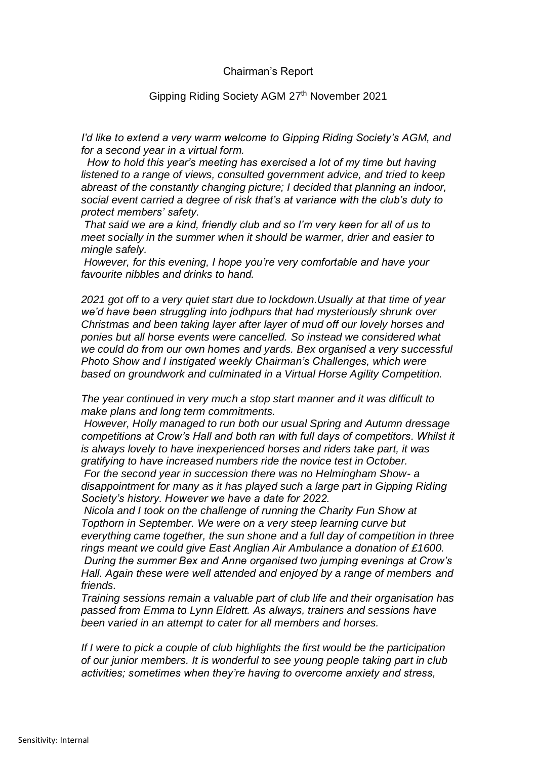## Chairman's Report

## Gipping Riding Society AGM 27<sup>th</sup> November 2021

*I'd like to extend a very warm welcome to Gipping Riding Society's AGM, and for a second year in a virtual form.*

 *How to hold this year's meeting has exercised a lot of my time but having listened to a range of views, consulted government advice, and tried to keep abreast of the constantly changing picture; I decided that planning an indoor, social event carried a degree of risk that's at variance with the club's duty to protect members' safety.*

*That said we are a kind, friendly club and so I'm very keen for all of us to meet socially in the summer when it should be warmer, drier and easier to mingle safely.*

*However, for this evening, I hope you're very comfortable and have your favourite nibbles and drinks to hand.* 

*2021 got off to a very quiet start due to lockdown.Usually at that time of year we'd have been struggling into jodhpurs that had mysteriously shrunk over Christmas and been taking layer after layer of mud off our lovely horses and ponies but all horse events were cancelled. So instead we considered what we could do from our own homes and yards. Bex organised a very successful Photo Show and I instigated weekly Chairman's Challenges, which were based on groundwork and culminated in a Virtual Horse Agility Competition.*

*The year continued in very much a stop start manner and it was difficult to make plans and long term commitments.* 

*However, Holly managed to run both our usual Spring and Autumn dressage competitions at Crow's Hall and both ran with full days of competitors. Whilst it is always lovely to have inexperienced horses and riders take part, it was gratifying to have increased numbers ride the novice test in October.* 

*For the second year in succession there was no Helmingham Show- a disappointment for many as it has played such a large part in Gipping Riding Society's history. However we have a date for 2022.*

*Nicola and I took on the challenge of running the Charity Fun Show at Topthorn in September. We were on a very steep learning curve but everything came together, the sun shone and a full day of competition in three rings meant we could give East Anglian Air Ambulance a donation of £1600. During the summer Bex and Anne organised two jumping evenings at Crow's Hall. Again these were well attended and enjoyed by a range of members and friends.*

*Training sessions remain a valuable part of club life and their organisation has passed from Emma to Lynn Eldrett. As always, trainers and sessions have been varied in an attempt to cater for all members and horses.*

*If I were to pick a couple of club highlights the first would be the participation of our junior members. It is wonderful to see young people taking part in club activities; sometimes when they're having to overcome anxiety and stress,*